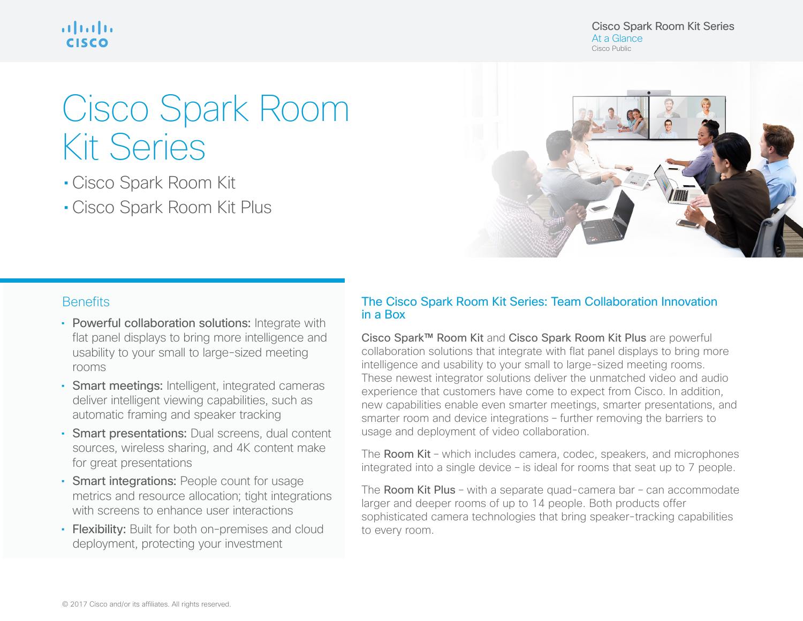ahah **CISCO** 

# Cisco Spark Room Kit Series

• Cisco Spark Room Kit

• Cisco Spark Room Kit Plus

Cisco Spark Room Kit Series At a Glance Cisco Public



## **Benefits**

- Powerful collaboration solutions: Integrate with flat panel displays to bring more intelligence and usability to your small to large-sized meeting rooms
- Smart meetings: Intelligent, integrated cameras deliver intelligent viewing capabilities, such as automatic framing and speaker tracking
- Smart presentations: Dual screens, dual content sources, wireless sharing, and 4K content make for great presentations
- Smart integrations: People count for usage metrics and resource allocation; tight integrations with screens to enhance user interactions
- Flexibility: Built for both on-premises and cloud deployment, protecting your investment

### The Cisco Spark Room Kit Series: Team Collaboration Innovation in a Box

Cisco Spark™ Room Kit and Cisco Spark Room Kit Plus are powerful collaboration solutions that integrate with flat panel displays to bring more intelligence and usability to your small to large-sized meeting rooms. These newest integrator solutions deliver the unmatched video and audio experience that customers have come to expect from Cisco. In addition, new capabilities enable even smarter meetings, smarter presentations, and smarter room and device integrations – further removing the barriers to usage and deployment of video collaboration.

The Room Kit – which includes camera, codec, speakers, and microphones integrated into a single device – is ideal for rooms that seat up to 7 people.

The Room Kit Plus – with a separate quad-camera bar – can accommodate larger and deeper rooms of up to 14 people. Both products offer sophisticated camera technologies that bring speaker-tracking capabilities to every room.